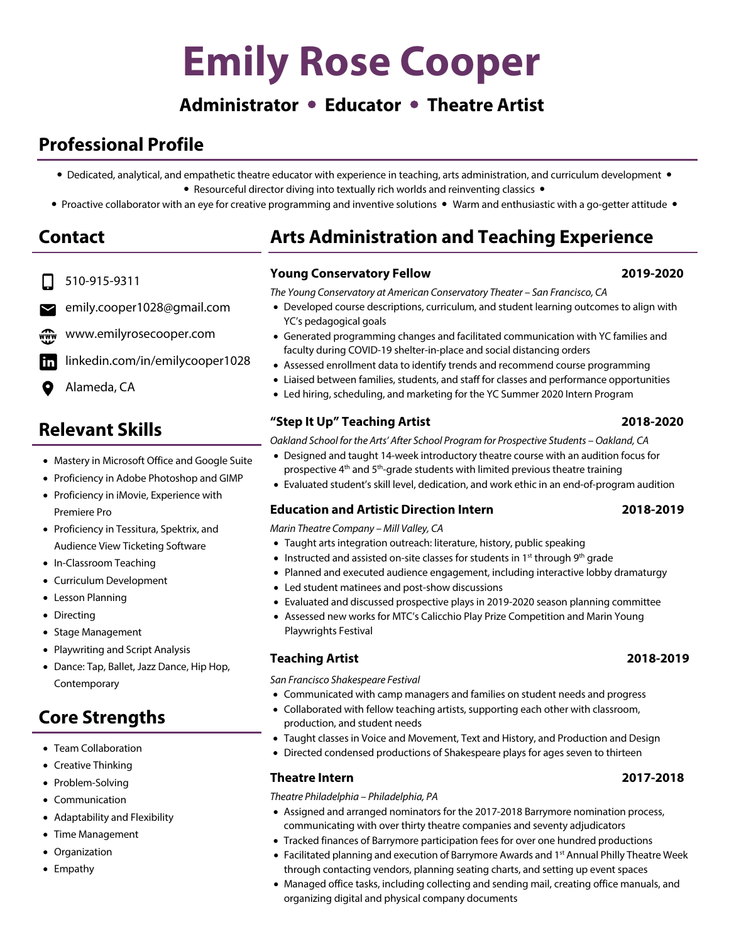# **Emily Rose Cooper**

# **Administrator Educator Theatre Artist**

# **Professional Profile**

- Dedicated, analytical, and empathetic theatre educator with experience in teaching, arts administration, and curriculum development • Resourceful director diving into textually rich worlds and reinventing classics •
- Proactive collaborator with an eye for creative programming and inventive solutions Warm and enthusiastic with a go-getter attitude •

# **Contact**

- 510-915-9311
- emily.cooper1028@gmail.com
- www.emilyrosecooper.com
- linkedin.com/in/emilycooper1028 in
- Alameda, CA

# **Relevant Skills**

- Mastery in Microsoft Office and Google Suite
- Proficiency in Adobe Photoshop and GIMP
- Proficiency in iMovie, Experience with Premiere Pro
- Proficiency in Tessitura, Spektrix, and Audience View Ticketing Software
- In-Classroom Teaching
- Curriculum Development
- Lesson Planning
- Directing
- Stage Management
- Playwriting and Script Analysis
- Dance: Tap, Ballet, Jazz Dance, Hip Hop, Contemporary

# **Core Strengths**

- Team Collaboration
- Creative Thinking
- Problem-Solving
- Communication
- Adaptability and Flexibility
- Time Management
- Organization
- Empathy

# **Arts Administration and Teaching Experience**

## **Young Conservatory Fellow 2019-2020**

*The Young Conservatory at American Conservatory Theater – San Francisco, CA*

- Developed course descriptions, curriculum, and student learning outcomes to align with YC's pedagogical goals
- Generated programming changes and facilitated communication with YC families and faculty during COVID-19 shelter-in-place and social distancing orders
- Assessed enrollment data to identify trends and recommend course programming
- Liaised between families, students, and staff for classes and performance opportunities
- Led hiring, scheduling, and marketing for the YC Summer 2020 Intern Program

## **"Step It Up" Teaching Artist 2018-2020**

*Oakland School for the Arts' After School Program for Prospective Students – Oakland, CA*

- Designed and taught 14-week introductory theatre course with an audition focus for prospective 4<sup>th</sup> and 5<sup>th</sup>-grade students with limited previous theatre training
- Evaluated student's skill level, dedication, and work ethic in an end-of-program audition

## **Education and Artistic Direction Intern 2018-2019**

*Marin Theatre Company – Mill Valley, CA*

- Taught arts integration outreach: literature, history, public speaking
- Instructed and assisted on-site classes for students in  $1<sup>st</sup>$  through 9<sup>th</sup> grade
- Planned and executed audience engagement, including interactive lobby dramaturgy
- Led student matinees and post-show discussions
- Evaluated and discussed prospective plays in 2019-2020 season planning committee
- Assessed new works for MTC's Calicchio Play Prize Competition and Marin Young Playwrights Festival

## **Teaching Artist 2018-2019**

*San Francisco Shakespeare Festival*

- Communicated with camp managers and families on student needs and progress
- Collaborated with fellow teaching artists, supporting each other with classroom, production, and student needs
- Taught classes in Voice and Movement, Text and History, and Production and Design
- Directed condensed productions of Shakespeare plays for ages seven to thirteen

## **Theatre Intern 2017-2018**

*Theatre Philadelphia – Philadelphia, PA*

- Assigned and arranged nominators for the 2017-2018 Barrymore nomination process, communicating with over thirty theatre companies and seventy adjudicators
- Tracked finances of Barrymore participation fees for over one hundred productions
- Facilitated planning and execution of Barrymore Awards and 1<sup>st</sup> Annual Philly Theatre Week through contacting vendors, planning seating charts, and setting up event spaces
- Managed office tasks, including collecting and sending mail, creating office manuals, and organizing digital and physical company documents